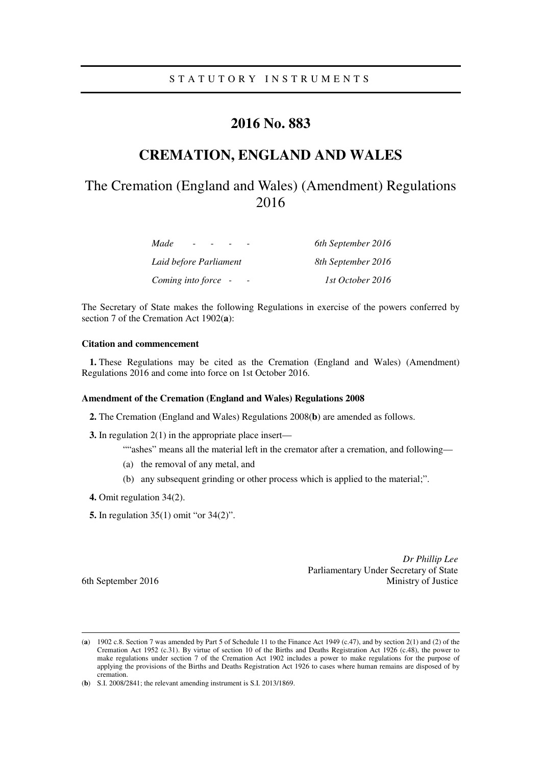### S T A T U T O R Y I N S T R U M E N T S

## **2016 No. 883**

## **CREMATION, ENGLAND AND WALES**

# The Cremation (England and Wales) (Amendment) Regulations 2016

| Made<br>$\overline{\phantom{0}}$ | 6th September 2016 |
|----------------------------------|--------------------|
| Laid before Parliament           | 8th September 2016 |
| Coming into force -              | 1st October 2016   |

The Secretary of State makes the following Regulations in exercise of the powers conferred by section 7 of the Cremation Act 1902(**a**):

### **Citation and commencement**

**1.** These Regulations may be cited as the Cremation (England and Wales) (Amendment) Regulations 2016 and come into force on 1st October 2016.

#### **Amendment of the Cremation (England and Wales) Regulations 2008**

**2.** The Cremation (England and Wales) Regulations 2008(**b**) are amended as follows.

**3.** In regulation 2(1) in the appropriate place insert—

""ashes" means all the material left in the cremator after a cremation, and following—

- (a) the removal of any metal, and
- (b) any subsequent grinding or other process which is applied to the material;".
- **4.** Omit regulation 34(2).
- **5.** In regulation 35(1) omit "or 34(2)".

*Dr Phillip Lee* Parliamentary Under Secretary of State 6th September 2016 Ministry of Justice

<u>.</u>

<sup>(</sup>**a**) 1902 c.8. Section 7 was amended by Part 5 of Schedule 11 to the Finance Act 1949 (c.47), and by section 2(1) and (2) of the Cremation Act 1952 (c.31). By virtue of section 10 of the Births and Deaths Registration Act 1926 (c.48), the power to make regulations under section 7 of the Cremation Act 1902 includes a power to make regulations for the purpose of applying the provisions of the Births and Deaths Registration Act 1926 to cases where human remains are disposed of by cremation.

<sup>(</sup>**b**) S.I. 2008/2841; the relevant amending instrument is S.I. 2013/1869.